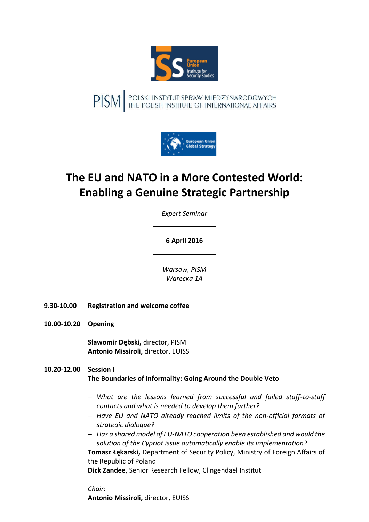

PISM FOLSKI INSTYTUT SPRAW MIĘDZYNARODOWYCH



# **The EU and NATO in a More Contested World: Enabling a Genuine Strategic Partnership**

*Expert Seminar*  $\overline{\phantom{a}}$  , where  $\overline{\phantom{a}}$ 

# **6 April 2016**  $\overline{\phantom{a}}$  , where  $\overline{\phantom{a}}$

*Warsaw, PISM Warecka 1A*

- **9.30-10.00 Registration and welcome coffee**
- **10.00-10.20 Opening**

**Sławomir Dębski,** director, PISM **Antonio Missiroli,** director, EUISS

#### **10.20-12.00 Session I The Boundaries of Informality: Going Around the Double Veto**

- *What are the lessons learned from successful and failed staff-to-staff contacts and what is needed to develop them further?*
- *Have EU and NATO already reached limits of the non-official formats of strategic dialogue?*
- *Has a shared model of EU-NATO cooperation been established and would the solution of the Cypriot issue automatically enable its implementation?*

**Tomasz Łękarski,** Department of Security Policy, Ministry of Foreign Affairs of the Republic of Poland

**Dick Zandee,** Senior Research Fellow, Clingendael Institut

*Chair:*

**Antonio Missiroli,** director, EUISS